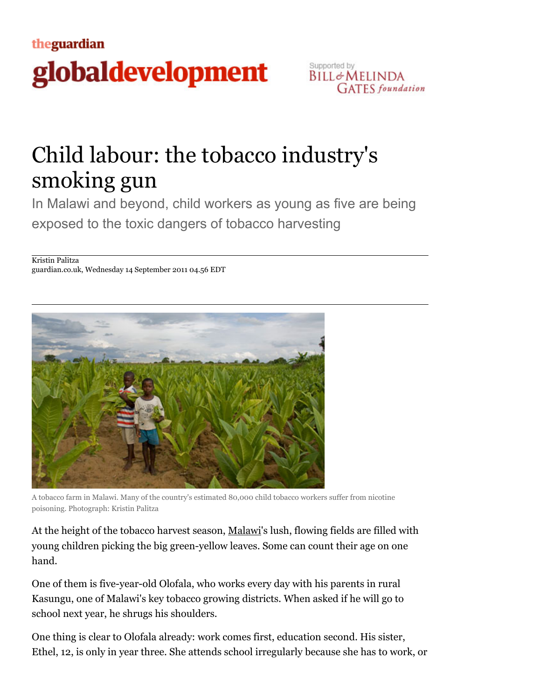## theguardian globaldevelopment



## Child labour: the tobacco industry's smoking gun

In Malawi and beyond, child workers as young as five are being exposed to the toxic dangers of tobacco harvesting

Kristin Palitza guardian.co.uk, Wednesday 14 September 2011 04.56 EDT



A tobacco farm in Malawi. Many of the country's estimated 80,000 child tobacco workers suffer from nicotine poisoning. Photograph: Kristin Palitza

At the height of the tobacco harvest season, Malawi's lush, flowing fields are filled with young children picking the big green-yellow leaves. Some can count their age on one hand.

One of them is five-year-old Olofala, who works every day with his parents in rural Kasungu, one of Malawi's key tobacco growing districts. When asked if he will go to school next year, he shrugs his shoulders.

One thing is clear to Olofala already: work comes first, education second. His sister, Ethel, 12, is only in year three. She attends school irregularly because she has to work, or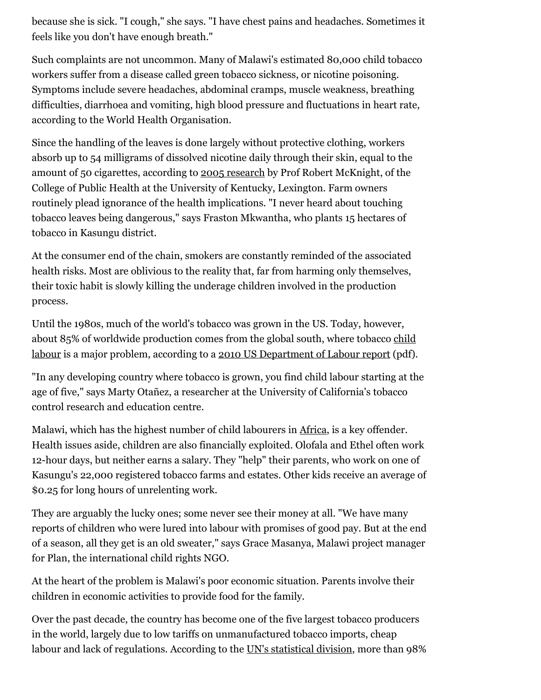because she is sick. "I cough," she says. "I have chest pains and headaches. Sometimes it feels like you don't have enough breath."

Such complaints are not uncommon. Many of Malawi's estimated 80,000 child tobacco workers suffer from a disease called green tobacco sickness, or nicotine poisoning. Symptoms include severe headaches, abdominal cramps, muscle weakness, breathing difficulties, diarrhoea and vomiting, high blood pressure and fluctuations in heart rate, according to the World Health Organisation.

Since the handling of the leaves is done largely without protective clothing, workers absorb up to 54 milligrams of dissolved nicotine daily through their skin, equal to the amount of 50 cigarettes, according to 2005 research by Prof Robert McKnight, of the College of Public Health at the University of Kentucky, Lexington. Farm owners routinely plead ignorance of the health implications. "I never heard about touching tobacco leaves being dangerous," says Fraston Mkwantha, who plants 15 hectares of tobacco in Kasungu district.

At the consumer end of the chain, smokers are constantly reminded of the associated health risks. Most are oblivious to the reality that, far from harming only themselves, their toxic habit is slowly killing the underage children involved in the production process.

Until the 1980s, much of the world's tobacco was grown in the US. Today, however, about 85% of worldwide production comes from the global south, where tobacco child labour is a major problem, according to a 2010 US Department of Labour report (pdf).

"In any developing country where tobacco is grown, you find child labour starting at the age of five," says Marty Otañez, a researcher at the University of California's tobacco control research and education centre.

Malawi, which has the highest number of child labourers in Africa, is a key offender. Health issues aside, children are also financially exploited. Olofala and Ethel often work 12-hour days, but neither earns a salary. They "help" their parents, who work on one of Kasungu's 22,000 registered tobacco farms and estates. Other kids receive an average of \$0.25 for long hours of unrelenting work.

They are arguably the lucky ones; some never see their money at all. "We have many reports of children who were lured into labour with promises of good pay. But at the end of a season, all they get is an old sweater," says Grace Masanya, Malawi project manager for Plan, the international child rights NGO.

At the heart of the problem is Malawi's poor economic situation. Parents involve their children in economic activities to provide food for the family.

Over the past decade, the country has become one of the five largest tobacco producers in the world, largely due to low tariffs on unmanufactured tobacco imports, cheap labour and lack of regulations. According to the UN's statistical division, more than 98%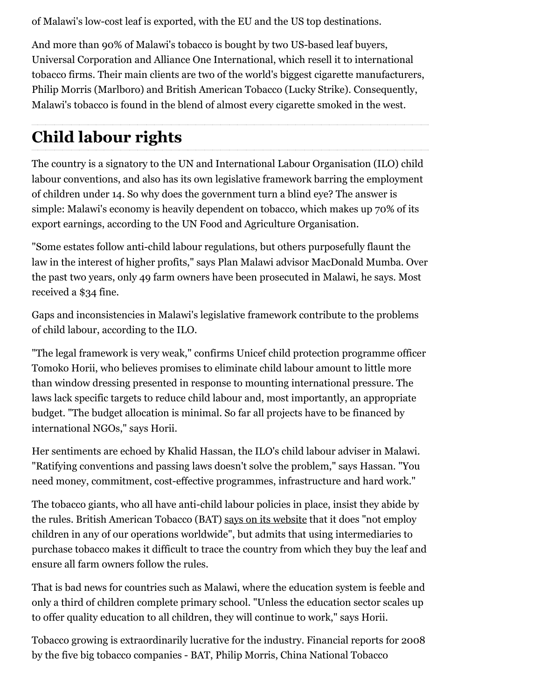of Malawi's low-cost leaf is exported, with the EU and the US top destinations.

And more than 90% of Malawi's tobacco is bought by two US-based leaf buyers, Universal Corporation and Alliance One International, which resell it to international tobacco firms. Their main clients are two of the world's biggest cigarette manufacturers, Philip Morris (Marlboro) and British American Tobacco (Lucky Strike). Consequently, Malawi's tobacco is found in the blend of almost every cigarette smoked in the west.

## **Child labour rights**

The country is a signatory to the UN and International Labour Organisation (ILO) child labour conventions, and also has its own legislative framework barring the employment of children under 14. So why does the government turn a blind eye? The answer is simple: Malawi's economy is heavily dependent on tobacco, which makes up 70% of its export earnings, according to the UN Food and Agriculture Organisation.

"Some estates follow anti-child labour regulations, but others purposefully flaunt the law in the interest of higher profits," says Plan Malawi advisor MacDonald Mumba. Over the past two years, only 49 farm owners have been prosecuted in Malawi, he says. Most received a \$34 fine.

Gaps and inconsistencies in Malawi's legislative framework contribute to the problems of child labour, according to the ILO.

"The legal framework is very weak," confirms Unicef child protection programme officer Tomoko Horii, who believes promises to eliminate child labour amount to little more than window dressing presented in response to mounting international pressure. The laws lack specific targets to reduce child labour and, most importantly, an appropriate budget. "The budget allocation is minimal. So far all projects have to be financed by international NGOs," says Horii.

Her sentiments are echoed by Khalid Hassan, the ILO's child labour adviser in Malawi. "Ratifying conventions and passing laws doesn't solve the problem," says Hassan. "You need money, commitment, cost-effective programmes, infrastructure and hard work."

The tobacco giants, who all have anti-child labour policies in place, insist they abide by the rules. British American Tobacco (BAT) says on its website that it does "not employ children in any of our operations worldwide", but admits that using intermediaries to purchase tobacco makes it difficult to trace the country from which they buy the leaf and ensure all farm owners follow the rules.

That is bad news for countries such as Malawi, where the education system is feeble and only a third of children complete primary school. "Unless the education sector scales up to offer quality education to all children, they will continue to work," says Horii.

Tobacco growing is extraordinarily lucrative for the industry. Financial reports for 2008 by the five big tobacco companies - BAT, Philip Morris, China National Tobacco